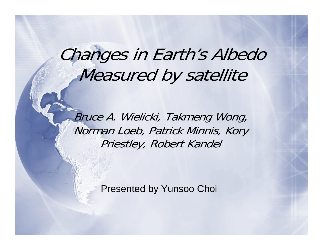# Changes in Earth's Albedo Measured by satellite

Bruce A. Wielicki, Takmeng Wong, Norman Loeb, Patrick Minnis, Kory Priestley, Robert Kandel

Presented by Yunsoo Choi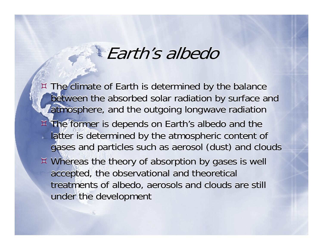## Earth's albedo

- The climate of Earth is determined by the balance The climate of Earth is determined by the balance between the absorbed solar radiation by surface and between the absorbed solar radiation by surface and atmosphere, and the outgoing longwave radiation atmosphere, and the outgoing longwave radiation
- The former is depends on Earth's albedo and the The former is depends on Earth's albedo and the latter is determined by the atmospheric content of gases and particles such as aerosol (dust) and clouds gases and particles such as aerosol (dust) and clouds
- Whereas the theory of absorption by gases is well Whereas the theory of absorption by gases is well accepted, the observational and theoretical accepted, the observational and theoretical treatments of albedo, aerosols and clouds are still treatments of albedo, aerosols and clouds are still under the development under the development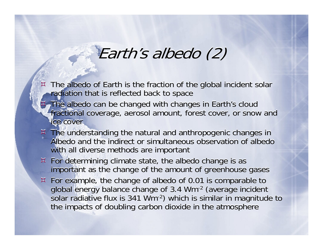### Earth's albedo (2)

- $\overline{\Xi}$  The albedo of Earth is the fraction of the global incident solar The albedo of Earth is the fraction of the global incident solar radiation that is reflected back to space  $\bm{\boxtimes}$
- $\bm{\Xi}$  The albedo can be changed with changes in Earth's cloud The albedo can be changed with changes in Earth's cloud fractional coverage, aerosol amount, forest cover, or snow and fractional coverage, aerosol amount, forest cover, or snow and ice cover ice cover  $\bm{\Xi}$
- The understanding the natural and anthropogenic changes in The understanding the natural and anthropogenic changes in Albedo and the indirect or simultaneous observation of albedo Albedo and the indirect or simultaneous observation of albedo with all diverse methods are important with all diverse methods are important
- For determining climate state, the albedo change is as For determining climate state, the albedo change is as important as the change of the amount of greenhouse gases important as the change of the amount of greenhouse gases
- For example, the change of albedo of 0.01 is comparable to For example, the change of albedo of 0.01 is comparable to global energy balance change of 3.4 Wm-2 (average incident global energy balance change of 3.4 Wm-2 (average incident solar radiative flux is 341 Wm-2) which is similar in magnitude to solar radiative flux is 341 Wm-2) which is similar in magnitude to the impacts of doubling carbon dioxide in the atmosphere the impacts of doubling carbon dioxide in the atmosphere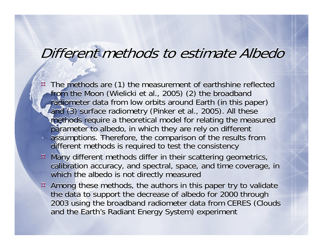#### Different methods to estimate Albedo

 $\overline{\Xi}$  $\overline{X}$  The methods are (1) the measurement of earthshine reflected from the Moon (Wielicki et al., 2005) (2) the broadband from the Moon (Wielicki et al., 2005) (2) the broadband radiometer data from low orbits around Earth (in this paper) radiometer data from low orbits around Earth (in this paper) and (3) surface radiometry (Pinker et al., 2005). All these and (3) surface radiometry (Pinker et al., 2005). All these methods require a theoretical model for relating the measured methods require a theoretical model for relating the measured parameter to albedo, in which they are rely on different parameter to albedo, in which they are rely on different assumptions. Therefore, the comparison of the results from assumptions. Therefore, the comparison of the results from different methods is required to test the consistency different methods is required to test the consistency  $\bm{\boxtimes}$ 

- Many different methods differ in their scattering geometrics, Many different methods differ in their scattering geometrics, calibration accuracy, and spectral, space, and time coverage, in calibration accuracy, and spectral, space, and time coverage, in which the albedo is not directly measured which the albedo is not directly measured
- Among these methods, the authors in this paper try to validate Among these methods, the authors in this paper try to validate the data to support the decrease of albedo for 2000 through the data to support the decrease of albedo for 2000 through 2003 using the broadband radiometer data from CERES (Clouds 2003 using the broadband radiometer data from CERES (Clouds and the Earth's Radiant Energy System) experiment and the Earth's Radiant Energy System) experiment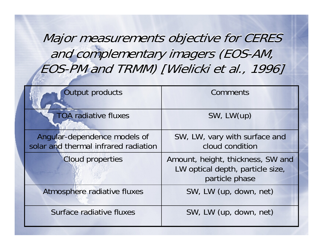Major measurements objective for CERES Major measurements objective for CERES and complementary imagers (EOS-AM, and complementary imagers (EOS-AM, EOS-PM and TRMM) [Wielicki et al., 1996] EOS-PM and TRMM) [Wielicki et al., 1996]

| <b>Output products</b>                                               | Comments                                                                                |  |
|----------------------------------------------------------------------|-----------------------------------------------------------------------------------------|--|
| <b>TOA radiative fluxes</b>                                          | SW, LW(up)                                                                              |  |
| Angular-dependence models of<br>solar and thermal infrared radiation | SW, LW, vary with surface and<br>cloud condition                                        |  |
| <b>Cloud properties</b>                                              | Amount, height, thickness, SW and<br>LW optical depth, particle size,<br>particle phase |  |
| Atmosphere radiative fluxes                                          | SW, LW (up, down, net)                                                                  |  |
| Surface radiative fluxes                                             | SW, LW (up, down, net)                                                                  |  |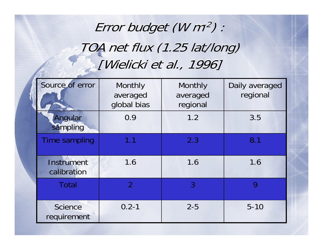### Error budget (W m<sup>-2</sup>) : TOA net flux (1.25 lat/long) TOA net flux (1.25 lat/long) [Wielicki et al., 1996] [Wielicki et al., 1996]

| Source of error                  | Monthly<br>averaged<br>global bias | Monthly<br>averaged<br>regional | Daily averaged<br>regional |
|----------------------------------|------------------------------------|---------------------------------|----------------------------|
| Angular<br>sampling              | 0.9                                | 1.2                             | 3.5                        |
| <b>Time sampling</b>             | 1.1                                | 2.3                             | 8.1                        |
| <b>Instrument</b><br>calibration | 1.6                                | 1.6                             | 1.6                        |
| <b>Total</b>                     | $\overline{2}$                     | 3                               | 9                          |
| <b>Science</b><br>requirement    | $0.2 - 1$                          | $2 - 5$                         | $5 - 10$                   |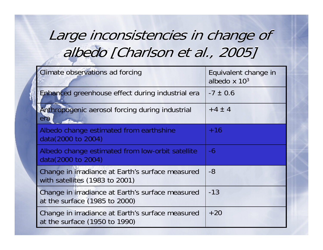#### Large inconsistencies in change of Large inconsistencies in change of albedo [Charlson et al., 2005] albedo [Charlson et al., 2005]

| Climate observations ad forcing                                                    | Equivalent change in<br>albedo $\times 10^3$ |  |
|------------------------------------------------------------------------------------|----------------------------------------------|--|
| Enhanced greenhouse effect during industrial era                                   | $-7 \pm 0.6$                                 |  |
| Anthropogenic aerosol forcing during industrial<br>era                             | $+4 \pm 4$                                   |  |
| Albedo change estimated from earthshine<br>data(2000 to 2004)                      | $+16$                                        |  |
| Albedo change estimated from low-orbit satellite<br>data(2000 to 2004)             | $-6$                                         |  |
| Change in irradiance at Earth's surface measured<br>with satellites (1983 to 2001) | $-8$                                         |  |
| Change in irradiance at Earth's surface measured<br>at the surface (1985 to 2000)  | $-13$                                        |  |
| Change in irradiance at Earth's surface measured<br>at the surface (1950 to 1990)  | $+20$                                        |  |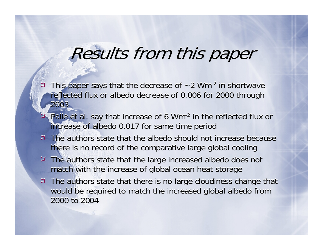## Results from this paper

- $\overline{\Xi}$  $\overline{z}$  This paper says that the decrease of  $\sim$  2 Wm<sup>-2</sup> in shortwave reflected flux or albedo decrease of 0.006 for 2000 through 2003 2003 $\bm{\boxtimes}$
- $\overline{\Xi}$  Palle et al. say that increase of 6 Wm-2 in the reflected flux or Palle et al. say that increase of 6 Wm-2 in the reflected flux or increase of albedo 0.017 for same time period increase of albedo 0.017 for same time period  $\bm{\Xi}$
- $\overline{X}$  The authors state that the albedo should not increase because there is no record of the comparative large global cooling there is no record of the comparative large global cooling
- The authors state that the large increased albedo does not The authors state that the large increased albedo does not match with the increase of global ocean heat storage match with the increase of global ocean heat storage
- The authors state that there is no large cloudiness change that The authors state that there is no large cloudiness change that would be required to match the increased global albedo from would be required to match the increased global albedo from 2000 to 2004 2000 to 2004